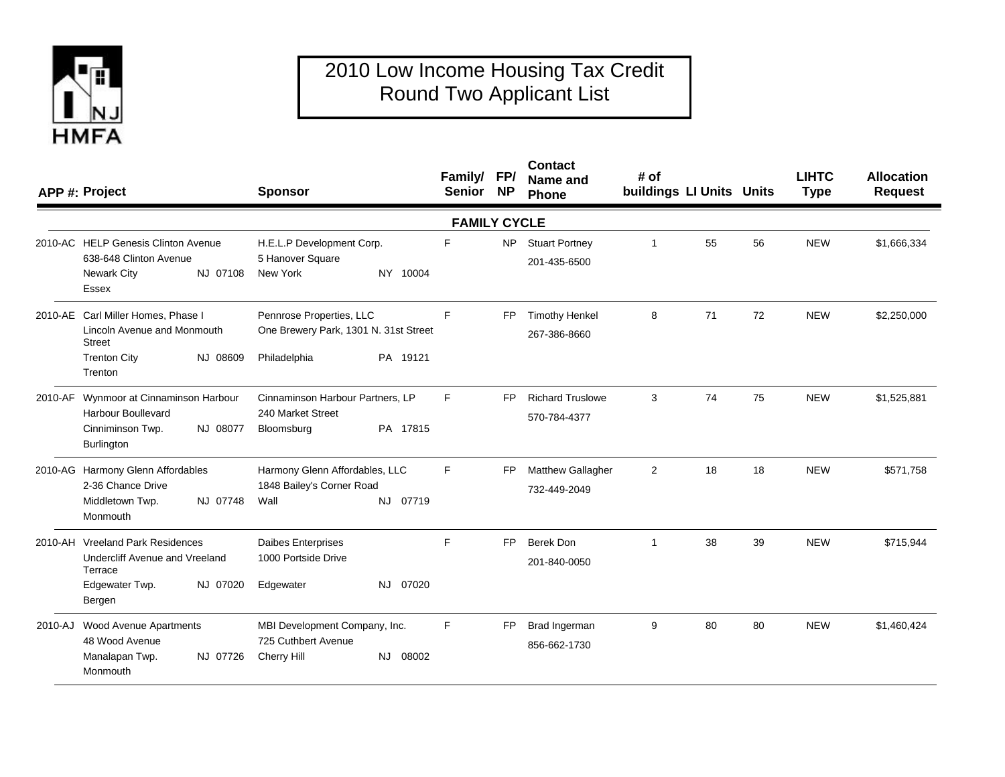

## 2010 Low Income Housing Tax Credit Round Two Applicant List

| APP #: Project                                                                                                |          | <b>Sponsor</b>                                                                    |          | Family/ FP/<br>Senior NP |           | <b>Contact</b><br>Name and<br>Phone      | # of<br>buildings LI Units Units |    |    | <b>LIHTC</b><br><b>Type</b> | <b>Allocation</b><br><b>Request</b> |
|---------------------------------------------------------------------------------------------------------------|----------|-----------------------------------------------------------------------------------|----------|--------------------------|-----------|------------------------------------------|----------------------------------|----|----|-----------------------------|-------------------------------------|
|                                                                                                               |          |                                                                                   |          | <b>FAMILY CYCLE</b>      |           |                                          |                                  |    |    |                             |                                     |
| 2010-AC HELP Genesis Clinton Avenue<br>638-648 Clinton Avenue<br>Newark City<br>Essex                         | NJ 07108 | H.E.L.P Development Corp.<br>5 Hanover Square<br>New York                         | NY 10004 | F                        | <b>NP</b> | <b>Stuart Portney</b><br>201-435-6500    | $\mathbf{1}$                     | 55 | 56 | <b>NEW</b>                  | \$1,666,334                         |
| 2010-AE Carl Miller Homes, Phase I<br>Lincoln Avenue and Monmouth<br>Street<br><b>Trenton City</b><br>Trenton | NJ 08609 | Pennrose Properties, LLC<br>One Brewery Park, 1301 N. 31st Street<br>Philadelphia | PA 19121 | F.                       | <b>FP</b> | <b>Timothy Henkel</b><br>267-386-8660    | 8                                | 71 | 72 | <b>NEW</b>                  | \$2,250,000                         |
| 2010-AF Wynmoor at Cinnaminson Harbour<br><b>Harbour Boullevard</b><br>Cinniminson Twp.<br>Burlington         | NJ 08077 | Cinnaminson Harbour Partners, LP<br>240 Market Street<br>Bloomsburg               | PA 17815 | F.                       | <b>FP</b> | <b>Richard Truslowe</b><br>570-784-4377  | 3                                | 74 | 75 | <b>NEW</b>                  | \$1,525,881                         |
| 2010-AG Harmony Glenn Affordables<br>2-36 Chance Drive<br>Middletown Twp.<br>Monmouth                         | NJ 07748 | Harmony Glenn Affordables, LLC<br>1848 Bailey's Corner Road<br>Wall               | NJ 07719 | F                        | <b>FP</b> | <b>Matthew Gallagher</b><br>732-449-2049 | $\overline{2}$                   | 18 | 18 | <b>NEW</b>                  | \$571.758                           |
| 2010-AH Vreeland Park Residences<br>Undercliff Avenue and Vreeland<br>Terrace<br>Edgewater Twp.<br>Bergen     | NJ 07020 | <b>Daibes Enterprises</b><br>1000 Portside Drive<br>Edgewater                     | NJ 07020 | F                        | FP.       | Berek Don<br>201-840-0050                |                                  | 38 | 39 | <b>NEW</b>                  | \$715,944                           |
| 2010-AJ Wood Avenue Apartments<br>48 Wood Avenue<br>Manalapan Twp.<br>Monmouth                                | NJ 07726 | MBI Development Company, Inc.<br>725 Cuthbert Avenue<br>Cherry Hill               | NJ 08002 | F                        | <b>FP</b> | Brad Ingerman<br>856-662-1730            | 9                                | 80 | 80 | <b>NEW</b>                  | \$1,460,424                         |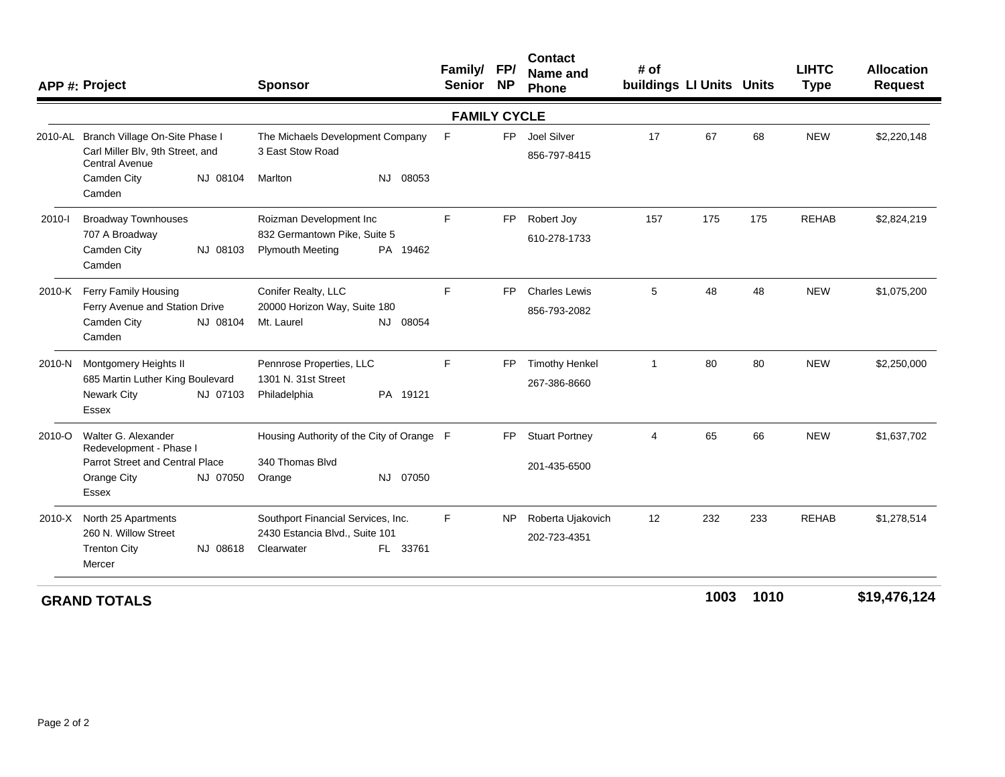|                     | APP #: Project                                                                                      | <b>Sponsor</b>                                                                | Family/ FP/<br>Senior NP |           | <b>Contact</b><br>Name and<br>Phone   | # of<br>buildings LI Units Units |      |      | <b>LIHTC</b><br><b>Type</b> | <b>Allocation</b><br><b>Request</b> |
|---------------------|-----------------------------------------------------------------------------------------------------|-------------------------------------------------------------------------------|--------------------------|-----------|---------------------------------------|----------------------------------|------|------|-----------------------------|-------------------------------------|
| <b>FAMILY CYCLE</b> |                                                                                                     |                                                                               |                          |           |                                       |                                  |      |      |                             |                                     |
|                     | 2010-AL Branch Village On-Site Phase I<br>Carl Miller Blv, 9th Street, and<br><b>Central Avenue</b> | The Michaels Development Company<br>3 East Stow Road                          | F                        | FP.       | Joel Silver<br>856-797-8415           | 17                               | 67   | 68   | <b>NEW</b>                  | \$2,220,148                         |
|                     | Camden City<br>NJ 08104<br>Camden                                                                   | NJ 08053<br>Marlton                                                           |                          |           |                                       |                                  |      |      |                             |                                     |
| 2010-l              | <b>Broadway Townhouses</b>                                                                          | Roizman Development Inc                                                       | F                        | FP        | Robert Joy                            | 157                              | 175  | 175  | <b>REHAB</b>                | \$2,824,219                         |
|                     | 707 A Broadway<br>Camden City<br>NJ 08103<br>Camden                                                 | 832 Germantown Pike, Suite 5<br><b>Plymouth Meeting</b><br>PA 19462           |                          |           | 610-278-1733                          |                                  |      |      |                             |                                     |
| 2010-K              | Ferry Family Housing<br>Ferry Avenue and Station Drive<br>Camden City<br>NJ 08104<br>Camden         | Conifer Realty, LLC<br>20000 Horizon Way, Suite 180<br>Mt. Laurel<br>NJ 08054 | F                        | <b>FP</b> | <b>Charles Lewis</b><br>856-793-2082  | 5                                | 48   | 48   | <b>NEW</b>                  | \$1,075,200                         |
| 2010-N              | Montgomery Heights II<br>685 Martin Luther King Boulevard<br>Newark City<br>NJ 07103<br>Essex       | Pennrose Properties, LLC<br>1301 N. 31st Street<br>Philadelphia<br>PA 19121   | F.                       | FP        | <b>Timothy Henkel</b><br>267-386-8660 | $\overline{1}$                   | 80   | 80   | <b>NEW</b>                  | \$2,250,000                         |
| 2010-O              | Walter G. Alexander<br>Redevelopment - Phase I                                                      | Housing Authority of the City of Orange F                                     |                          | FP.       | <b>Stuart Portney</b>                 | 4                                | 65   | 66   | <b>NEW</b>                  | \$1,637,702                         |
|                     | Parrot Street and Central Place<br>Orange City<br>NJ 07050<br>Essex                                 | 340 Thomas Blvd<br>NJ 07050<br>Orange                                         |                          |           | 201-435-6500                          |                                  |      |      |                             |                                     |
| 2010-X              | North 25 Apartments                                                                                 | Southport Financial Services, Inc.                                            |                          | <b>NP</b> | Roberta Ujakovich                     | 12                               | 232  | 233  | <b>REHAB</b>                | \$1,278,514                         |
|                     | 260 N. Willow Street<br><b>Trenton City</b><br>NJ 08618<br>Mercer                                   | 2430 Estancia Blvd., Suite 101<br>FL 33761<br>Clearwater                      |                          |           | 202-723-4351                          |                                  |      |      |                             |                                     |
|                     |                                                                                                     |                                                                               |                          |           |                                       |                                  | 1002 | 1010 |                             | $0.40 \times 70.40$                 |

**<sup>1003</sup> <sup>1010</sup> \$19,476,124**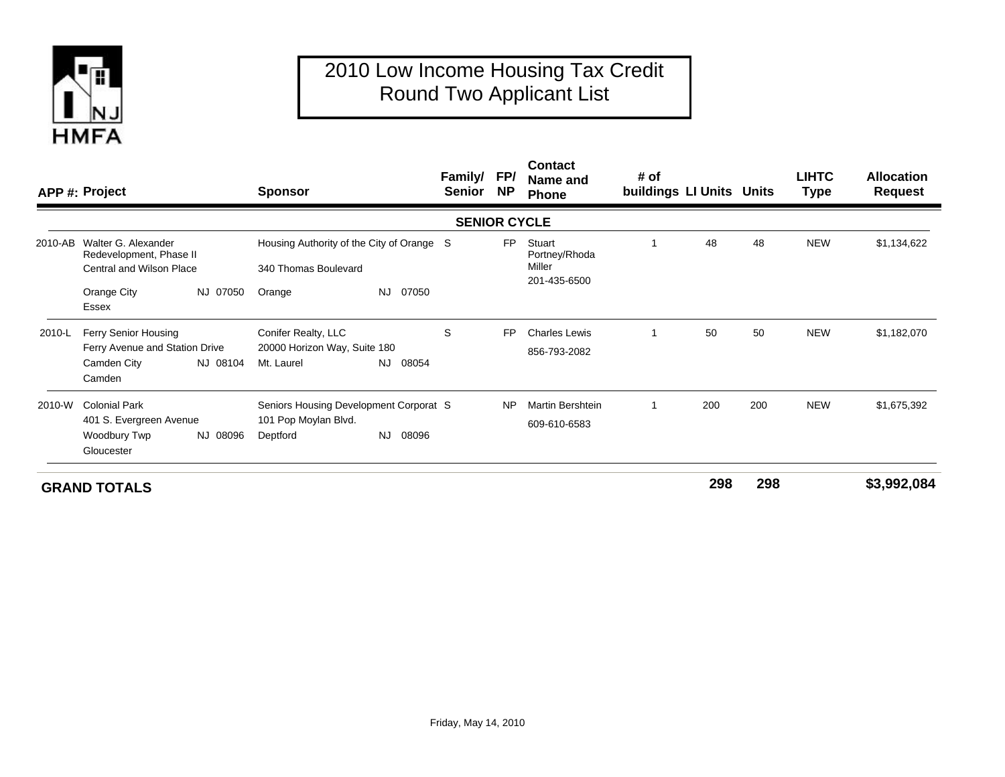

## 2010 Low Income Housing Tax Credit Round Two Applicant List

|         | APP #: Project                                                                    |                                                                                                                                | <b>Sponsor</b>                                                    |                                           | <b>Family/</b><br>Senior | FP/<br><b>NP</b> | <b>Contact</b><br>Name and<br>Phone               | # of<br>buildings LI Units Units |     |     | <b>LIHTC</b><br><b>Type</b> | <b>Allocation</b><br><b>Request</b> |
|---------|-----------------------------------------------------------------------------------|--------------------------------------------------------------------------------------------------------------------------------|-------------------------------------------------------------------|-------------------------------------------|--------------------------|------------------|---------------------------------------------------|----------------------------------|-----|-----|-----------------------------|-------------------------------------|
|         |                                                                                   |                                                                                                                                |                                                                   |                                           | <b>SENIOR CYCLE</b>      |                  |                                                   |                                  |     |     |                             |                                     |
| 2010-AB | Walter G. Alexander<br>Redevelopment, Phase II<br><b>Central and Wilson Place</b> |                                                                                                                                | 340 Thomas Boulevard                                              | Housing Authority of the City of Orange S |                          | <b>FP</b>        | Stuart<br>Portney/Rhoda<br>Miller<br>201-435-6500 |                                  | 48  | 48  | <b>NEW</b>                  | \$1,134,622                         |
|         | Orange City<br>Essex                                                              | NJ 07050                                                                                                                       | Orange                                                            | 07050<br>NJ.                              |                          |                  |                                                   |                                  |     |     |                             |                                     |
| 2010-L  | Ferry Senior Housing<br>Ferry Avenue and Station Drive<br>Camden City<br>Camden   | NJ 08104                                                                                                                       | Conifer Realty, LLC<br>20000 Horizon Way, Suite 180<br>Mt. Laurel | 08054<br>NJ.                              | S                        | <b>FP</b>        | <b>Charles Lewis</b><br>856-793-2082              |                                  | 50  | 50  | <b>NEW</b>                  | \$1,182,070                         |
| 2010-W  | <b>Colonial Park</b><br>Woodbury Twp<br>Gloucester                                | Seniors Housing Development Corporat S<br>101 Pop Moylan Blvd.<br>401 S. Evergreen Avenue<br><b>NJ</b><br>NJ 08096<br>Deptford |                                                                   | 08096                                     |                          | <b>NP</b>        | Martin Bershtein<br>609-610-6583                  |                                  | 200 | 200 | <b>NEW</b>                  | \$1,675,392                         |

**GRAND TOTALS**

**<sup>298</sup> <sup>298</sup> \$3,992,084**